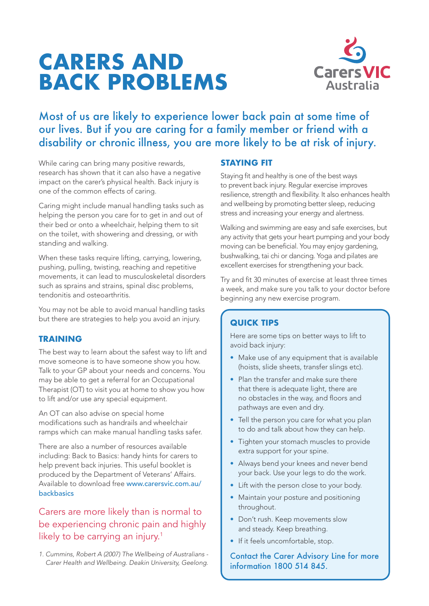# **CARERS AND BACK PROBLEMS**



# Most of us are likely to experience lower back pain at some time of our lives. But if you are caring for a family member or friend with a disability or chronic illness, you are more likely to be at risk of injury.

While caring can bring many positive rewards, research has shown that it can also have a negative impact on the carer's physical health. Back injury is one of the common effects of caring.

Caring might include manual handling tasks such as helping the person you care for to get in and out of their bed or onto a wheelchair, helping them to sit on the toilet, with showering and dressing, or with standing and walking.

When these tasks require lifting, carrying, lowering, pushing, pulling, twisting, reaching and repetitive movements, it can lead to musculoskeletal disorders such as sprains and strains, spinal disc problems, tendonitis and osteoarthritis.

You may not be able to avoid manual handling tasks but there are strategies to help you avoid an injury.

#### **TRAINING**

The best way to learn about the safest way to lift and move someone is to have someone show you how. Talk to your GP about your needs and concerns. You may be able to get a referral for an Occupational Therapist (OT) to visit you at home to show you how to lift and/or use any special equipment.

An OT can also advise on special home modifications such as handrails and wheelchair ramps which can make manual handling tasks safer.

There are also a number of resources available including: Back to Basics: handy hints for carers to help prevent back injuries. This useful booklet is produced by the Department of Veterans' Affairs. Available to download free www.carersvic.com.au/ backbasics

# Carers are more likely than is normal to be experiencing chronic pain and highly likely to be carrying an injury.<sup>1</sup>

*1. Cummins, Robert A (2007) The Wellbeing of Australians - Carer Health and Wellbeing. Deakin University, Geelong.*

## **STAYING FIT**

Staying fit and healthy is one of the best ways to prevent back injury. Regular exercise improves resilience, strength and flexibility. It also enhances health and wellbeing by promoting better sleep, reducing stress and increasing your energy and alertness.

Walking and swimming are easy and safe exercises, but any activity that gets your heart pumping and your body moving can be beneficial. You may enjoy gardening, bushwalking, tai chi or dancing. Yoga and pilates are excellent exercises for strengthening your back.

Try and fit 30 minutes of exercise at least three times a week, and make sure you talk to your doctor before beginning any new exercise program.

### **QUICK TIPS**

Here are some tips on better ways to lift to avoid back injury:

- Make use of any equipment that is available (hoists, slide sheets, transfer slings etc).
- Plan the transfer and make sure there that there is adequate light, there are no obstacles in the way, and floors and pathways are even and dry.
- Tell the person you care for what you plan to do and talk about how they can help.
- Tighten your stomach muscles to provide extra support for your spine.
- Always bend your knees and never bend your back. Use your legs to do the work.
- Lift with the person close to your body.
- Maintain your posture and positioning throughout.
- Don't rush. Keep movements slow and steady. Keep breathing.
- If it feels uncomfortable, stop.

Contact the Carer Advisory Line for more information 1800 514 845.